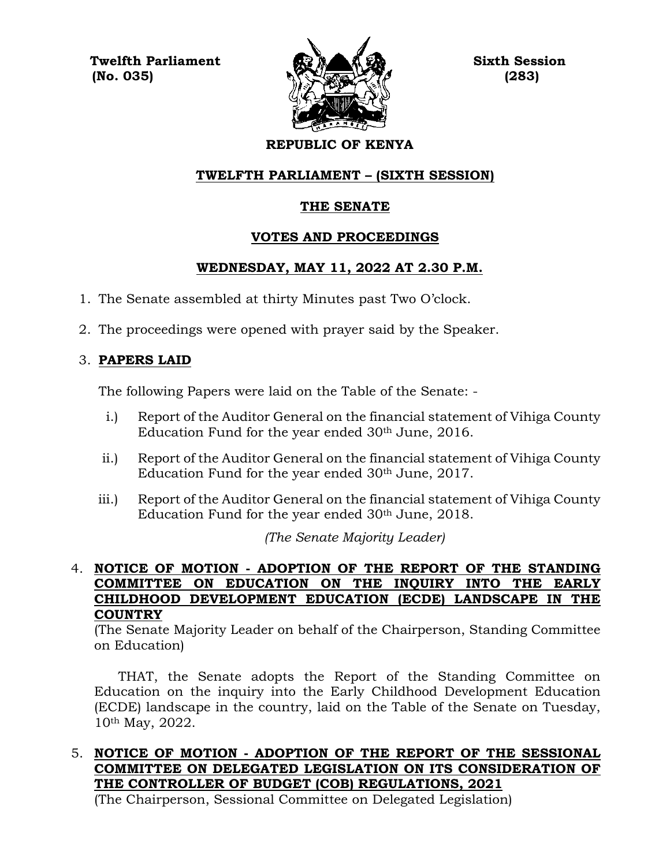**Twelfth Parliament Sixth Session**  $\mathbb{N}$  (No. 035)  $\mathbb{N}$  (283)



# **REPUBLIC OF KENYA**

# **TWELFTH PARLIAMENT – (SIXTH SESSION)**

## **THE SENATE**

## **VOTES AND PROCEEDINGS**

## **WEDNESDAY, MAY 11, 2022 AT 2.30 P.M.**

- 1. The Senate assembled at thirty Minutes past Two O'clock.
- 2. The proceedings were opened with prayer said by the Speaker.

# 3. **PAPERS LAID**

The following Papers were laid on the Table of the Senate: -

- i.) Report of the Auditor General on the financial statement of Vihiga County Education Fund for the year ended  $30<sup>th</sup>$  June, 2016.
- ii.) Report of the Auditor General on the financial statement of Vihiga County Education Fund for the year ended 30th June, 2017.
- iii.) Report of the Auditor General on the financial statement of Vihiga County Education Fund for the year ended 30<sup>th</sup> June, 2018.

*(The Senate Majority Leader)*

### 4. **NOTICE OF MOTION - ADOPTION OF THE REPORT OF THE STANDING COMMITTEE ON EDUCATION ON THE INQUIRY INTO THE EARLY CHILDHOOD DEVELOPMENT EDUCATION (ECDE) LANDSCAPE IN THE COUNTRY**

(The Senate Majority Leader on behalf of the Chairperson, Standing Committee on Education)

THAT, the Senate adopts the Report of the Standing Committee on Education on the inquiry into the Early Childhood Development Education (ECDE) landscape in the country, laid on the Table of the Senate on Tuesday, 10th May, 2022.

# 5. **NOTICE OF MOTION - ADOPTION OF THE REPORT OF THE SESSIONAL COMMITTEE ON DELEGATED LEGISLATION ON ITS CONSIDERATION OF THE CONTROLLER OF BUDGET (COB) REGULATIONS, 2021**

(The Chairperson, Sessional Committee on Delegated Legislation)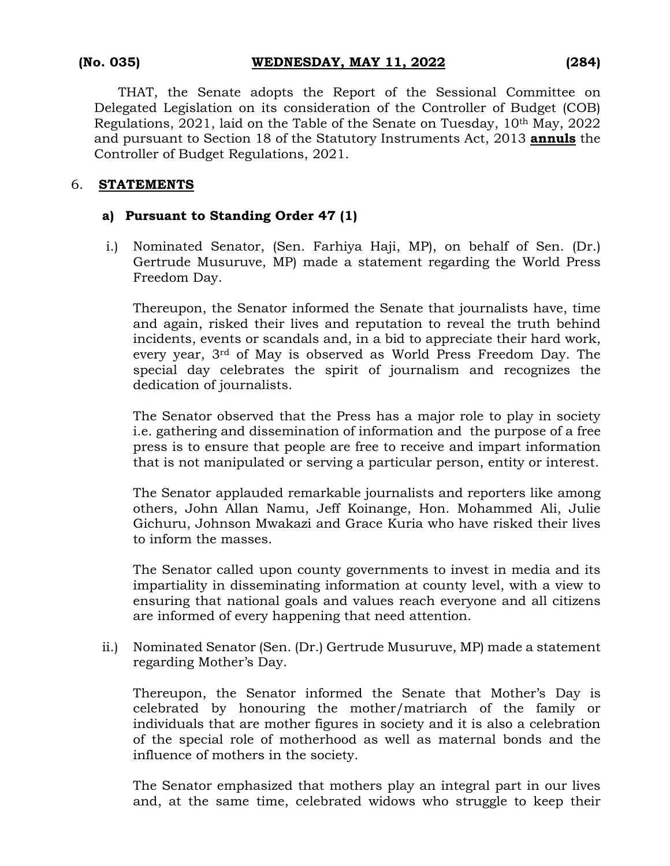THAT, the Senate adopts the Report of the Sessional Committee on Delegated Legislation on its consideration of the Controller of Budget (COB) Regulations, 2021, laid on the Table of the Senate on Tuesday, 10th May, 2022 and pursuant to Section 18 of the Statutory Instruments Act, 2013 **annuls** the Controller of Budget Regulations, 2021.

#### 6. **STATEMENTS**

## **a) Pursuant to Standing Order 47 (1)**

i.) Nominated Senator, (Sen. Farhiya Haji, MP), on behalf of Sen. (Dr.) Gertrude Musuruve, MP) made a statement regarding the World Press Freedom Day.

Thereupon, the Senator informed the Senate that journalists have, time and again, risked their lives and reputation to reveal the truth behind incidents, events or scandals and, in a bid to appreciate their hard work, every year, 3rd of May is observed as World Press Freedom Day. The special day celebrates the spirit of journalism and recognizes the dedication of journalists.

The Senator observed that the Press has a major role to play in society i.e. gathering and dissemination of information and the purpose of a free press is to ensure that people are free to receive and impart information that is not manipulated or serving a particular person, entity or interest.

The Senator applauded remarkable journalists and reporters like among others, John Allan Namu, Jeff Koinange, Hon. Mohammed Ali, Julie Gichuru, Johnson Mwakazi and Grace Kuria who have risked their lives to inform the masses.

The Senator called upon county governments to invest in media and its impartiality in disseminating information at county level, with a view to ensuring that national goals and values reach everyone and all citizens are informed of every happening that need attention.

ii.) Nominated Senator (Sen. (Dr.) Gertrude Musuruve, MP) made a statement regarding Mother's Day.

Thereupon, the Senator informed the Senate that Mother's Day is celebrated by honouring the mother/matriarch of the family or individuals that are mother figures in society and it is also a celebration of the special role of motherhood as well as maternal bonds and the influence of mothers in the society.

The Senator emphasized that mothers play an integral part in our lives and, at the same time, celebrated widows who struggle to keep their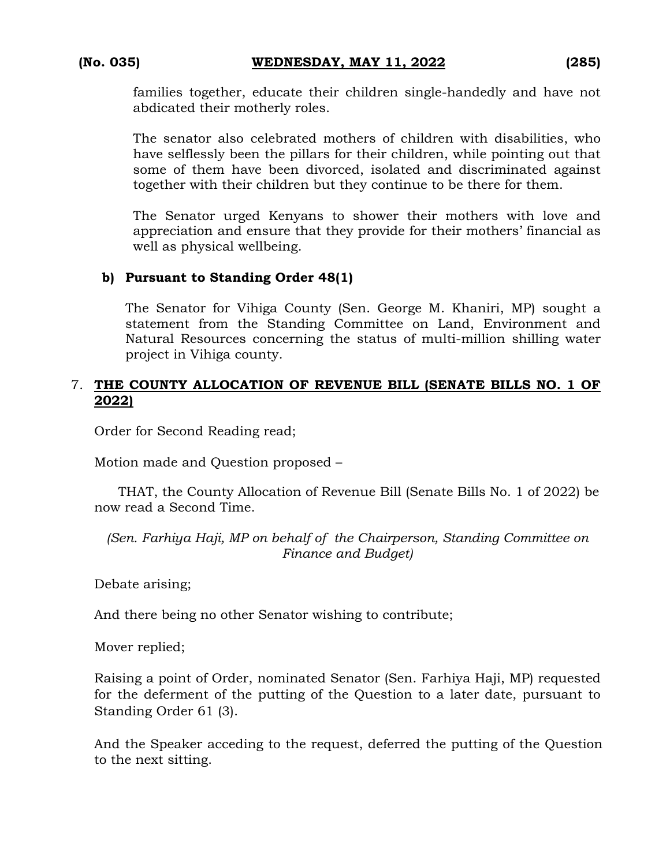families together, educate their children single-handedly and have not abdicated their motherly roles.

The senator also celebrated mothers of children with disabilities, who have selflessly been the pillars for their children, while pointing out that some of them have been divorced, isolated and discriminated against together with their children but they continue to be there for them.

The Senator urged Kenyans to shower their mothers with love and appreciation and ensure that they provide for their mothers' financial as well as physical wellbeing.

#### **b) Pursuant to Standing Order 48(1)**

The Senator for Vihiga County (Sen. George M. Khaniri, MP) sought a statement from the Standing Committee on Land, Environment and Natural Resources concerning the status of multi-million shilling water project in Vihiga county.

#### 7. **THE COUNTY ALLOCATION OF REVENUE BILL (SENATE BILLS NO. 1 OF 2022)**

Order for Second Reading read;

Motion made and Question proposed –

THAT, the County Allocation of Revenue Bill (Senate Bills No. 1 of 2022) be now read a Second Time.

*(Sen. Farhiya Haji, MP on behalf of the Chairperson, Standing Committee on Finance and Budget)*

Debate arising;

And there being no other Senator wishing to contribute;

Mover replied;

Raising a point of Order, nominated Senator (Sen. Farhiya Haji, MP) requested for the deferment of the putting of the Question to a later date, pursuant to Standing Order 61 (3).

And the Speaker acceding to the request, deferred the putting of the Question to the next sitting.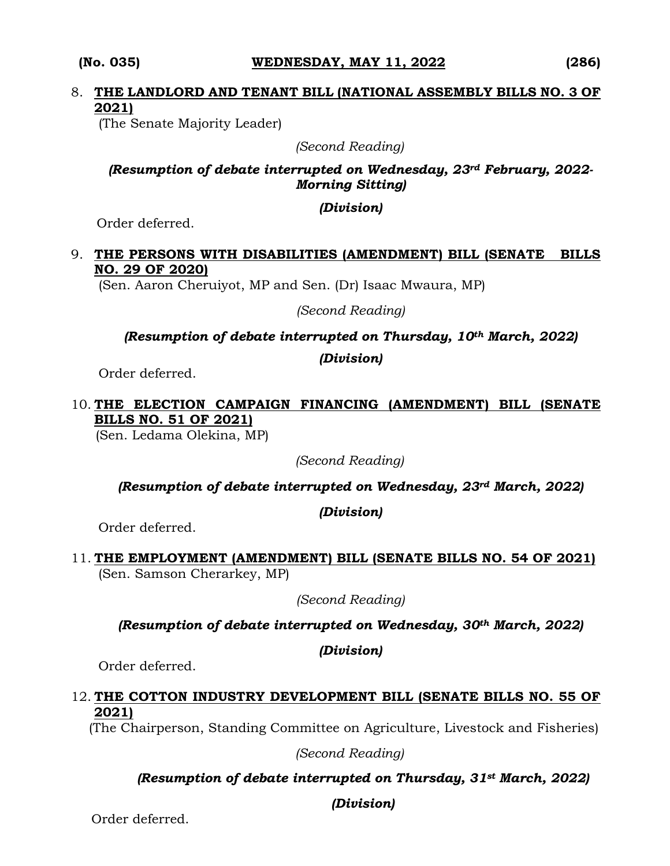#### **(No. 035) WEDNESDAY, MAY 11, 2022 (286)**

# 8. **THE LANDLORD AND TENANT BILL (NATIONAL ASSEMBLY BILLS NO. 3 OF 2021)**

(The Senate Majority Leader)

*(Second Reading)*

### *(Resumption of debate interrupted on Wednesday, 23rd February, 2022- Morning Sitting)*

#### *(Division)*

Order deferred.

# 9. **THE PERSONS WITH DISABILITIES (AMENDMENT) BILL (SENATE BILLS NO. 29 OF 2020)**

(Sen. Aaron Cheruiyot, MP and Sen. (Dr) Isaac Mwaura, MP)

*(Second Reading)*

*(Resumption of debate interrupted on Thursday, 10th March, 2022)*

*(Division)*

Order deferred.

# 10. **THE ELECTION CAMPAIGN FINANCING (AMENDMENT) BILL (SENATE BILLS NO. 51 OF 2021)**

(Sen. Ledama Olekina, MP)

*(Second Reading)*

*(Resumption of debate interrupted on Wednesday, 23rd March, 2022)*

*(Division)*

Order deferred.

11. **THE EMPLOYMENT (AMENDMENT) BILL (SENATE BILLS NO. 54 OF 2021)** (Sen. Samson Cherarkey, MP)

*(Second Reading)*

*(Resumption of debate interrupted on Wednesday, 30th March, 2022)* 

# *(Division)*

Order deferred.

## 12. **THE COTTON INDUSTRY DEVELOPMENT BILL (SENATE BILLS NO. 55 OF 2021)**

(The Chairperson, Standing Committee on Agriculture, Livestock and Fisheries)

*(Second Reading)*

# *(Resumption of debate interrupted on Thursday, 31st March, 2022)*

*(Division)*

Order deferred.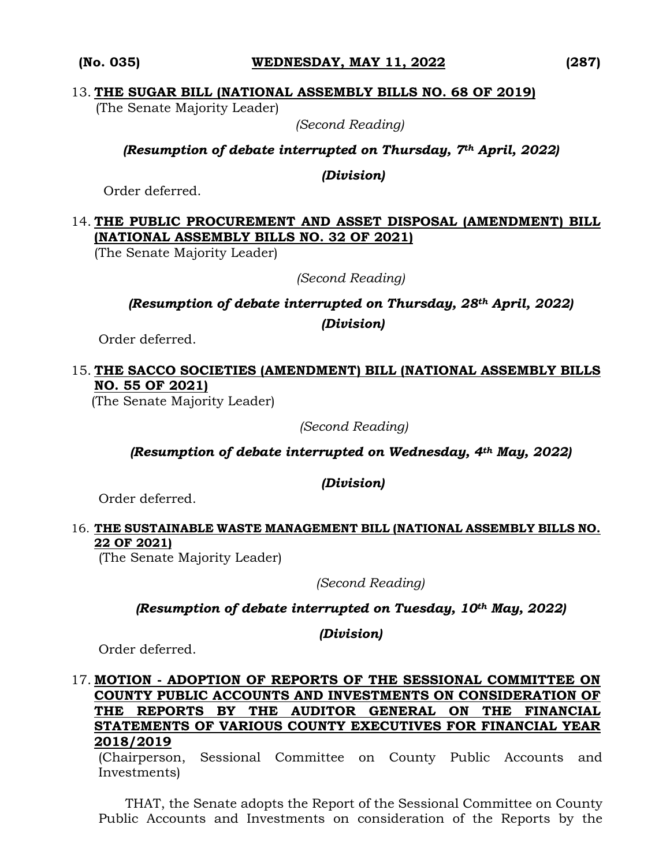#### **(No. 035) WEDNESDAY, MAY 11, 2022 (287)**

#### 13. **THE SUGAR BILL (NATIONAL ASSEMBLY BILLS NO. 68 OF 2019)**

(The Senate Majority Leader)

*(Second Reading)*

*(Resumption of debate interrupted on Thursday, 7th April, 2022)*

*(Division)*

Order deferred.

# 14. **THE PUBLIC PROCUREMENT AND ASSET DISPOSAL (AMENDMENT) BILL (NATIONAL ASSEMBLY BILLS NO. 32 OF 2021)**

(The Senate Majority Leader)

*(Second Reading)*

*(Resumption of debate interrupted on Thursday, 28th April, 2022)* 

*(Division)*

Order deferred.

# 15. **THE SACCO SOCIETIES (AMENDMENT) BILL (NATIONAL ASSEMBLY BILLS NO. 55 OF 2021)**

(The Senate Majority Leader)

 *(Second Reading)*

*(Resumption of debate interrupted on Wednesday, 4th May, 2022)* 

*(Division)*

Order deferred.

#### 16. **THE SUSTAINABLE WASTE MANAGEMENT BILL (NATIONAL ASSEMBLY BILLS NO. 22 OF 2021)**

(The Senate Majority Leader)

*(Second Reading)*

*(Resumption of debate interrupted on Tuesday, 10th May, 2022)*

*(Division)*

Order deferred.

#### 17. **MOTION - ADOPTION OF REPORTS OF THE SESSIONAL COMMITTEE ON COUNTY PUBLIC ACCOUNTS AND INVESTMENTS ON CONSIDERATION OF THE REPORTS BY THE AUDITOR GENERAL ON THE FINANCIAL STATEMENTS OF VARIOUS COUNTY EXECUTIVES FOR FINANCIAL YEAR 2018/2019**

(Chairperson, Sessional Committee on County Public Accounts and Investments)

THAT, the Senate adopts the Report of the Sessional Committee on County Public Accounts and Investments on consideration of the Reports by the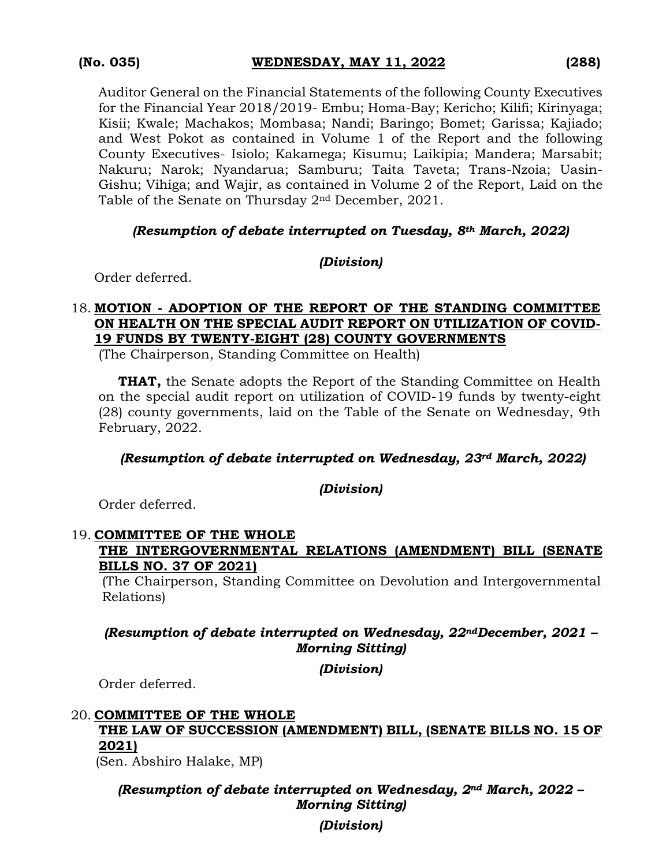Auditor General on the Financial Statements of the following County Executives for the Financial Year 2018/2019- Embu; Homa-Bay; Kericho; Kilifi; Kirinyaga; Kisii; Kwale; Machakos; Mombasa; Nandi; Baringo; Bomet; Garissa; Kajiado; and West Pokot as contained in Volume 1 of the Report and the following County Executives- Isiolo; Kakamega; Kisumu; Laikipia; Mandera; Marsabit; Nakuru; Narok; Nyandarua; Samburu; Taita Taveta; Trans-Nzoia; Uasin-Gishu; Vihiga; and Wajir, as contained in Volume 2 of the Report, Laid on the Table of the Senate on Thursday 2nd December, 2021.

#### *(Resumption of debate interrupted on Tuesday, 8th March, 2022)*

#### *(Division)*

Order deferred.

### 18. **MOTION - ADOPTION OF THE REPORT OF THE STANDING COMMITTEE ON HEALTH ON THE SPECIAL AUDIT REPORT ON UTILIZATION OF COVID-19 FUNDS BY TWENTY-EIGHT (28) COUNTY GOVERNMENTS**

(The Chairperson, Standing Committee on Health)

**THAT,** the Senate adopts the Report of the Standing Committee on Health on the special audit report on utilization of COVID-19 funds by twenty-eight (28) county governments, laid on the Table of the Senate on Wednesday, 9th February, 2022.

#### *(Resumption of debate interrupted on Wednesday, 23rd March, 2022)*

#### *(Division)*

Order deferred.

#### 19. **COMMITTEE OF THE WHOLE THE INTERGOVERNMENTAL RELATIONS (AMENDMENT) BILL (SENATE BILLS NO. 37 OF 2021)**

(The Chairperson, Standing Committee on Devolution and Intergovernmental Relations)

#### *(Resumption of debate interrupted on Wednesday, 22ndDecember, 2021 – Morning Sitting)*

*(Division)*

Order deferred.

# 20. **COMMITTEE OF THE WHOLE THE LAW OF SUCCESSION (AMENDMENT) BILL, (SENATE BILLS NO. 15 OF 2021)**

(Sen. Abshiro Halake, MP)

*(Resumption of debate interrupted on Wednesday, 2nd March, 2022 – Morning Sitting)*

*(Division)*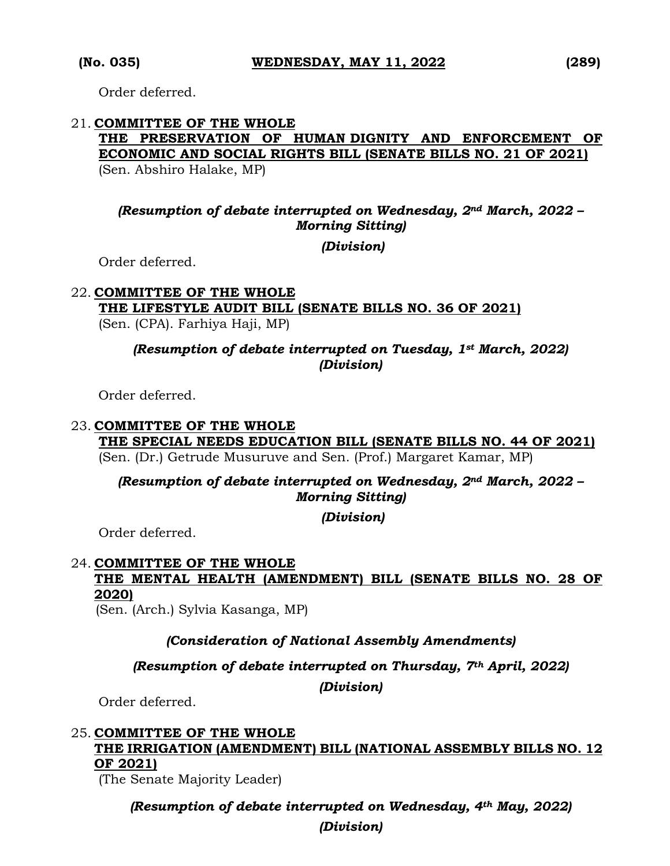Order deferred.

# 21. **COMMITTEE OF THE WHOLE THE PRESERVATION OF HUMAN DIGNITY AND ENFORCEMENT OF ECONOMIC AND SOCIAL RIGHTS BILL (SENATE BILLS NO. 21 OF 2021)**

(Sen. Abshiro Halake, MP)

# *(Resumption of debate interrupted on Wednesday, 2nd March, 2022 – Morning Sitting)*

*(Division)*

Order deferred.

#### 22. **COMMITTEE OF THE WHOLE THE LIFESTYLE AUDIT BILL (SENATE BILLS NO. 36 OF 2021)**  (Sen. (CPA). Farhiya Haji, MP)

### *(Resumption of debate interrupted on Tuesday, 1st March, 2022) (Division)*

Order deferred.

#### 23. **COMMITTEE OF THE WHOLE THE SPECIAL NEEDS EDUCATION BILL (SENATE BILLS NO. 44 OF 2021)**

(Sen. (Dr.) Getrude Musuruve and Sen. (Prof.) Margaret Kamar, MP)

# *(Resumption of debate interrupted on Wednesday, 2nd March, 2022 – Morning Sitting)*

*(Division)*

Order deferred.

#### 24. **COMMITTEE OF THE WHOLE THE MENTAL HEALTH (AMENDMENT) BILL (SENATE BILLS NO. 28 OF 2020)**

(Sen. (Arch.) Sylvia Kasanga, MP)

# *(Consideration of National Assembly Amendments)*

#### *(Resumption of debate interrupted on Thursday, 7th April, 2022)*

*(Division)*

Order deferred.

# 25. **COMMITTEE OF THE WHOLE THE IRRIGATION (AMENDMENT) BILL (NATIONAL ASSEMBLY BILLS NO. 12 OF 2021)**

(The Senate Majority Leader)

# *(Resumption of debate interrupted on Wednesday, 4th May, 2022)*

*(Division)*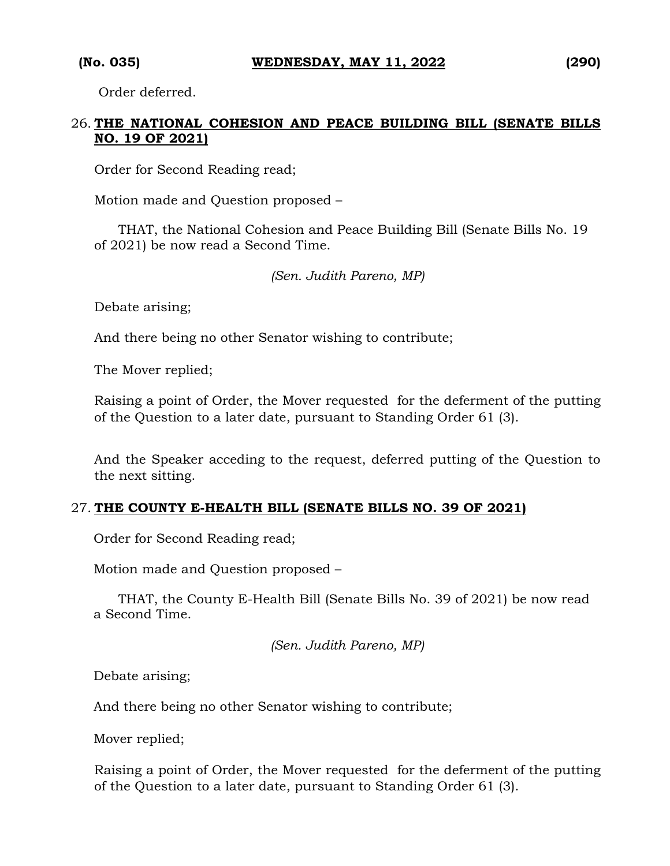Order deferred.

### 26. **THE NATIONAL COHESION AND PEACE BUILDING BILL (SENATE BILLS NO. 19 OF 2021)**

Order for Second Reading read;

Motion made and Question proposed –

THAT, the National Cohesion and Peace Building Bill (Senate Bills No. 19 of 2021) be now read a Second Time.

*(Sen. Judith Pareno, MP)*

Debate arising;

And there being no other Senator wishing to contribute;

The Mover replied;

Raising a point of Order, the Mover requested for the deferment of the putting of the Question to a later date, pursuant to Standing Order 61 (3).

And the Speaker acceding to the request, deferred putting of the Question to the next sitting.

#### 27. **THE COUNTY E-HEALTH BILL (SENATE BILLS NO. 39 OF 2021)**

Order for Second Reading read;

Motion made and Question proposed –

THAT, the County E-Health Bill (Senate Bills No. 39 of 2021) be now read a Second Time.

*(Sen. Judith Pareno, MP)*

Debate arising;

And there being no other Senator wishing to contribute;

Mover replied;

Raising a point of Order, the Mover requested for the deferment of the putting of the Question to a later date, pursuant to Standing Order 61 (3).